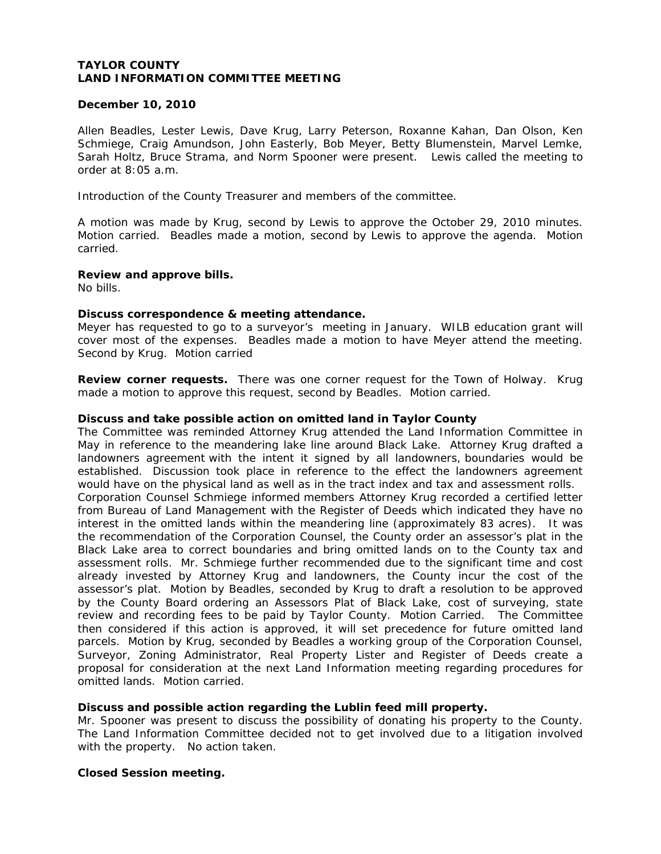#### **December 10, 2010**

Allen Beadles, Lester Lewis, Dave Krug, Larry Peterson, Roxanne Kahan, Dan Olson, Ken Schmiege, Craig Amundson, John Easterly, Bob Meyer, Betty Blumenstein, Marvel Lemke, Sarah Holtz, Bruce Strama, and Norm Spooner were present. Lewis called the meeting to order at 8:05 a.m.

Introduction of the County Treasurer and members of the committee.

A motion was made by Krug, second by Lewis to approve the October 29, 2010 minutes. Motion carried. Beadles made a motion, second by Lewis to approve the agenda. Motion carried.

#### **Review and approve bills.**

No bills.

# **Discuss correspondence & meeting attendance.**

Meyer has requested to go to a surveyor's meeting in January. WILB education grant will cover most of the expenses. Beadles made a motion to have Meyer attend the meeting. Second by Krug. Motion carried

**Review corner requests.** There was one corner request for the Town of Holway. Krug made a motion to approve this request, second by Beadles. Motion carried.

#### **Discuss and take possible action on omitted land in Taylor County**

The Committee was reminded Attorney Krug attended the Land Information Committee in May in reference to the meandering lake line around Black Lake. Attorney Krug drafted a landowners agreement with the intent it signed by all landowners, boundaries would be established. Discussion took place in reference to the effect the landowners agreement would have on the physical land as well as in the tract index and tax and assessment rolls. Corporation Counsel Schmiege informed members Attorney Krug recorded a certified letter from Bureau of Land Management with the Register of Deeds which indicated they have no interest in the omitted lands within the meandering line (approximately 83 acres). It was the recommendation of the Corporation Counsel, the County order an assessor's plat in the Black Lake area to correct boundaries and bring omitted lands on to the County tax and assessment rolls. Mr. Schmiege further recommended due to the significant time and cost already invested by Attorney Krug and landowners, the County incur the cost of the assessor's plat. Motion by Beadles, seconded by Krug to draft a resolution to be approved by the County Board ordering an Assessors Plat of Black Lake, cost of surveying, state review and recording fees to be paid by Taylor County. Motion Carried. The Committee then considered if this action is approved, it will set precedence for future omitted land parcels. Motion by Krug, seconded by Beadles a working group of the Corporation Counsel, Surveyor, Zoning Administrator, Real Property Lister and Register of Deeds create a proposal for consideration at the next Land Information meeting regarding procedures for omitted lands. Motion carried.

#### **Discuss and possible action regarding the Lublin feed mill property.**

Mr. Spooner was present to discuss the possibility of donating his property to the County. The Land Information Committee decided not to get involved due to a litigation involved with the property. No action taken.

#### **Closed Session meeting.**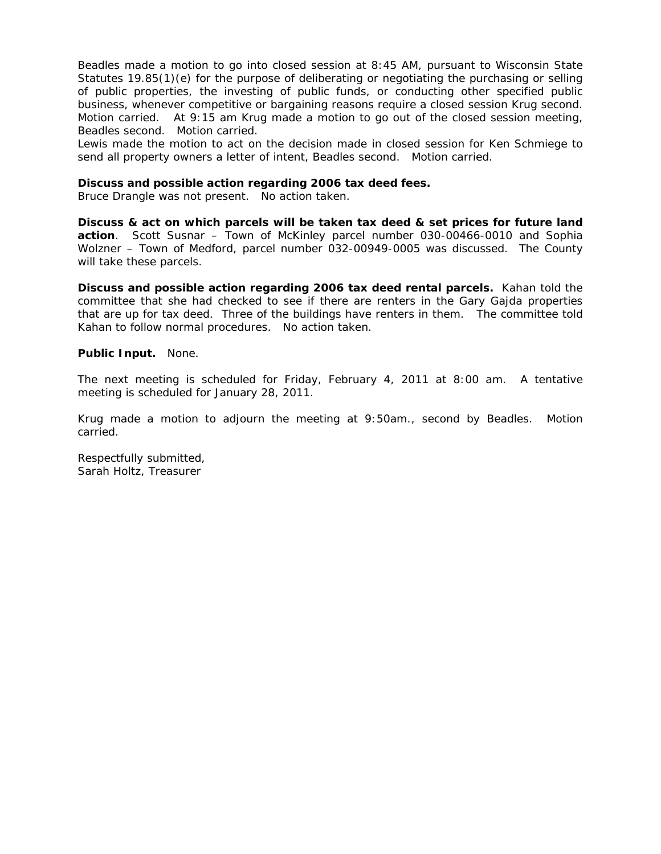Beadles made a motion to go into closed session at 8:45 AM, pursuant to Wisconsin State Statutes 19.85(1)(e) for the purpose of deliberating or negotiating the purchasing or selling of public properties, the investing of public funds, or conducting other specified public business, whenever competitive or bargaining reasons require a closed session Krug second. Motion carried. At 9:15 am Krug made a motion to go out of the closed session meeting, Beadles second. Motion carried.

Lewis made the motion to act on the decision made in closed session for Ken Schmiege to send all property owners a letter of intent, Beadles second. Motion carried.

#### **Discuss and possible action regarding 2006 tax deed fees.**

Bruce Drangle was not present. No action taken.

**Discuss & act on which parcels will be taken tax deed & set prices for future land action**. Scott Susnar – Town of McKinley parcel number 030-00466-0010 and Sophia Wolzner – Town of Medford, parcel number 032-00949-0005 was discussed. The County will take these parcels.

**Discuss and possible action regarding 2006 tax deed rental parcels.** Kahan told the committee that she had checked to see if there are renters in the Gary Gajda properties that are up for tax deed. Three of the buildings have renters in them. The committee told Kahan to follow normal procedures. No action taken.

#### **Public Input.** None.

The next meeting is scheduled for Friday, February 4, 2011 at 8:00 am. A tentative meeting is scheduled for January 28, 2011.

Krug made a motion to adjourn the meeting at 9:50am., second by Beadles. Motion carried.

Respectfully submitted, Sarah Holtz, Treasurer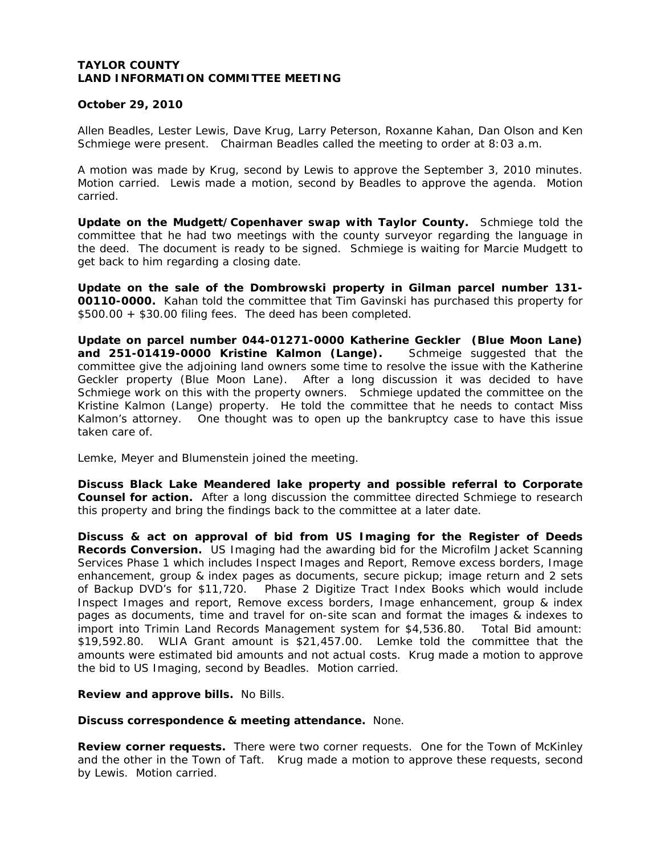#### **October 29, 2010**

Allen Beadles, Lester Lewis, Dave Krug, Larry Peterson, Roxanne Kahan, Dan Olson and Ken Schmiege were present. Chairman Beadles called the meeting to order at 8:03 a.m.

A motion was made by Krug, second by Lewis to approve the September 3, 2010 minutes. Motion carried. Lewis made a motion, second by Beadles to approve the agenda. Motion carried.

**Update on the Mudgett/Copenhaver swap with Taylor County.** Schmiege told the committee that he had two meetings with the county surveyor regarding the language in the deed. The document is ready to be signed. Schmiege is waiting for Marcie Mudgett to get back to him regarding a closing date.

**Update on the sale of the Dombrowski property in Gilman parcel number 131- 00110-0000.** Kahan told the committee that Tim Gavinski has purchased this property for \$500.00 + \$30.00 filing fees. The deed has been completed.

**Update on parcel number 044-01271-0000 Katherine Geckler (Blue Moon Lane) and 251-01419-0000 Kristine Kalmon (Lange).** Schmeige suggested that the committee give the adjoining land owners some time to resolve the issue with the Katherine Geckler property (Blue Moon Lane). After a long discussion it was decided to have Schmiege work on this with the property owners. Schmiege updated the committee on the Kristine Kalmon (Lange) property. He told the committee that he needs to contact Miss Kalmon's attorney. One thought was to open up the bankruptcy case to have this issue taken care of.

Lemke, Meyer and Blumenstein joined the meeting.

**Discuss Black Lake Meandered lake property and possible referral to Corporate Counsel for action.** After a long discussion the committee directed Schmiege to research this property and bring the findings back to the committee at a later date.

**Discuss & act on approval of bid from US Imaging for the Register of Deeds Records Conversion.** US Imaging had the awarding bid for the Microfilm Jacket Scanning Services Phase 1 which includes *Inspect Images and Report, Remove excess borders, Image enhancement, group & index pages as documents, secure pickup; image return and 2 sets of Backup DVD's for \$11,720.* Phase 2 Digitize Tract Index Books which would include *Inspect Images and report, Remove excess borders, Image enhancement, group & index pages as documents, time and travel for on-site scan and format the images & indexes to import into Trimin Land Records Management system for \$4,536.80. Total Bid amount: \$19,592.80*. WLIA Grant amount is \$21,457.00. Lemke told the committee that the amounts were estimated bid amounts and not actual costs. Krug made a motion to approve the bid to US Imaging, second by Beadles. Motion carried.

**Review and approve bills.** No Bills.

**Discuss correspondence & meeting attendance.** None.

**Review corner requests.** There were two corner requests. One for the Town of McKinley and the other in the Town of Taft. Krug made a motion to approve these requests, second by Lewis. Motion carried.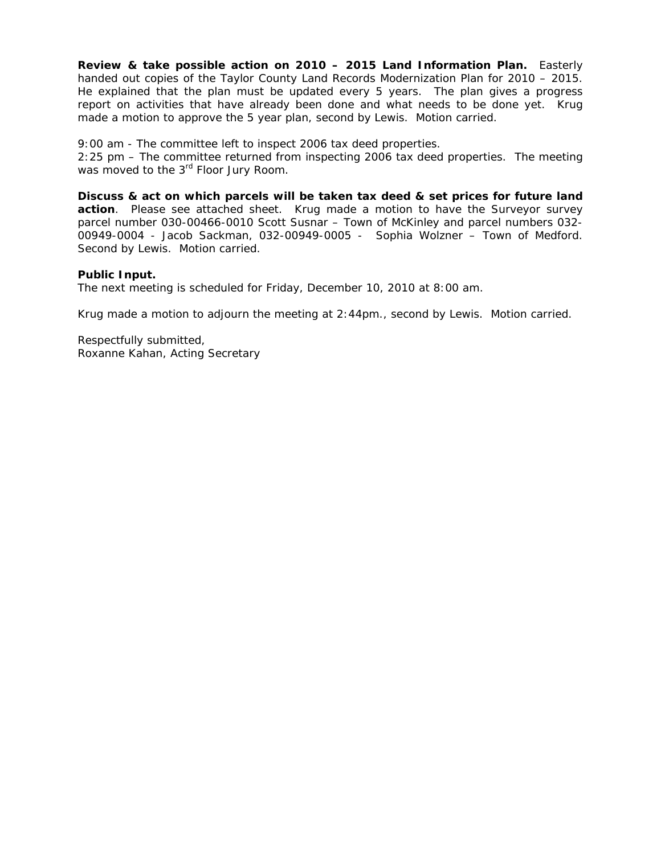**Review & take possible action on 2010 – 2015 Land Information Plan.** Easterly handed out copies of the Taylor County Land Records Modernization Plan for 2010 – 2015. He explained that the plan must be updated every 5 years. The plan gives a progress report on activities that have already been done and what needs to be done yet. Krug made a motion to approve the 5 year plan, second by Lewis. Motion carried.

9:00 am - The committee left to inspect 2006 tax deed properties.

2:25 pm – The committee returned from inspecting 2006 tax deed properties. The meeting was moved to the 3<sup>rd</sup> Floor Jury Room.

**Discuss & act on which parcels will be taken tax deed & set prices for future land action**. Please see attached sheet. Krug made a motion to have the Surveyor survey parcel number 030-00466-0010 Scott Susnar – Town of McKinley and parcel numbers 032- 00949-0004 - Jacob Sackman, 032-00949-0005 - Sophia Wolzner – Town of Medford. Second by Lewis. Motion carried.

#### **Public Input.**

The next meeting is scheduled for Friday, December 10, 2010 at 8:00 am.

Krug made a motion to adjourn the meeting at 2:44pm., second by Lewis. Motion carried.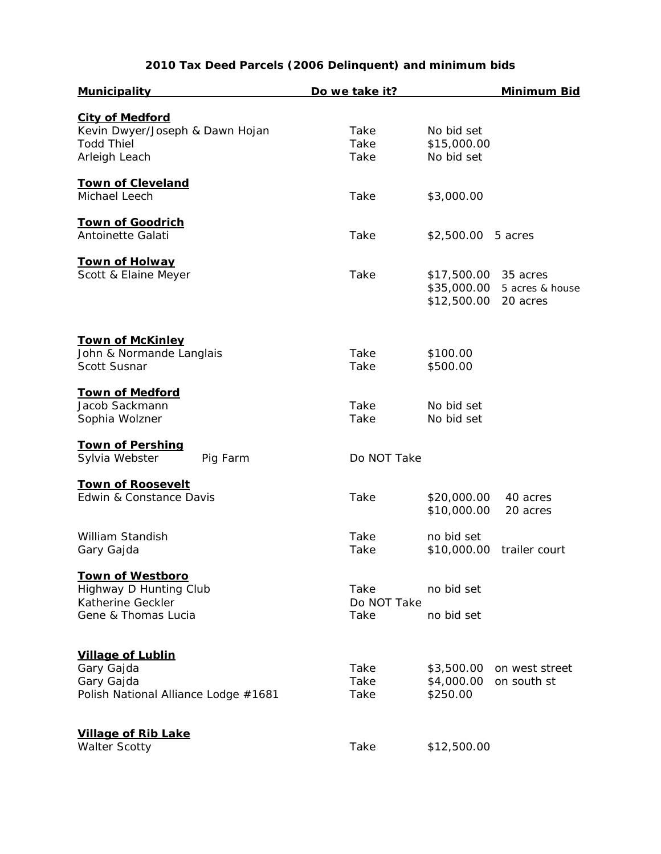# **2010 Tax Deed Parcels (2006 Delinquent) and minimum bids**

| <b>Municipality</b>                                 | Do we take it? | <b>Minimum Bid</b>             |
|-----------------------------------------------------|----------------|--------------------------------|
| <b>City of Medford</b>                              |                |                                |
| Kevin Dwyer/Joseph & Dawn Hojan                     | Take           | No bid set                     |
| <b>Todd Thiel</b>                                   | Take           | \$15,000.00                    |
| Arleigh Leach                                       | Take           | No bid set                     |
|                                                     |                |                                |
| <b>Town of Cleveland</b>                            |                |                                |
| Michael Leech                                       | Take           | \$3,000.00                     |
|                                                     |                |                                |
| <b>Town of Goodrich</b>                             |                |                                |
| <b>Antoinette Galati</b>                            | Take           | \$2,500.00<br>5 acres          |
|                                                     |                |                                |
| <b>Town of Holway</b><br>Scott & Elaine Meyer       | Take           | \$17,500.00 35 acres           |
|                                                     |                | \$35,000.00<br>5 acres & house |
|                                                     |                | \$12,500.00<br>20 acres        |
|                                                     |                |                                |
|                                                     |                |                                |
| <b>Town of McKinley</b>                             |                |                                |
| John & Normande Langlais                            | Take           | \$100.00                       |
| Scott Susnar                                        | Take           | \$500.00                       |
| <b>Town of Medford</b>                              |                |                                |
| Jacob Sackmann                                      | Take           | No bid set                     |
| Sophia Wolzner                                      | Take           | No bid set                     |
|                                                     |                |                                |
| <b>Town of Pershing</b>                             |                |                                |
| Sylvia Webster<br>Pig Farm                          | Do NOT Take    |                                |
|                                                     |                |                                |
| <b>Town of Roosevelt</b><br>Edwin & Constance Davis | Take           | \$20,000.00<br>40 acres        |
|                                                     |                | \$10,000.00<br>20 acres        |
|                                                     |                |                                |
| William Standish                                    | Take           | no bid set                     |
| Gary Gajda                                          | Take           | \$10,000.00<br>trailer court   |
|                                                     |                |                                |
| <b>Town of Westboro</b>                             |                |                                |
| Highway D Hunting Club                              | Take           | no bid set                     |
| Katherine Geckler                                   | Do NOT Take    |                                |
| Gene & Thomas Lucia                                 | Take           | no bid set                     |
|                                                     |                |                                |
| <b>Village of Lublin</b>                            |                |                                |
| Gary Gajda                                          | Take           | \$3,500.00<br>on west street   |
| Gary Gajda                                          | Take           | \$4,000.00<br>on south st      |
| Polish National Alliance Lodge #1681                | Take           | \$250.00                       |
|                                                     |                |                                |
| <b>Village of Rib Lake</b>                          |                |                                |
| <b>Walter Scotty</b>                                | Take           | \$12,500.00                    |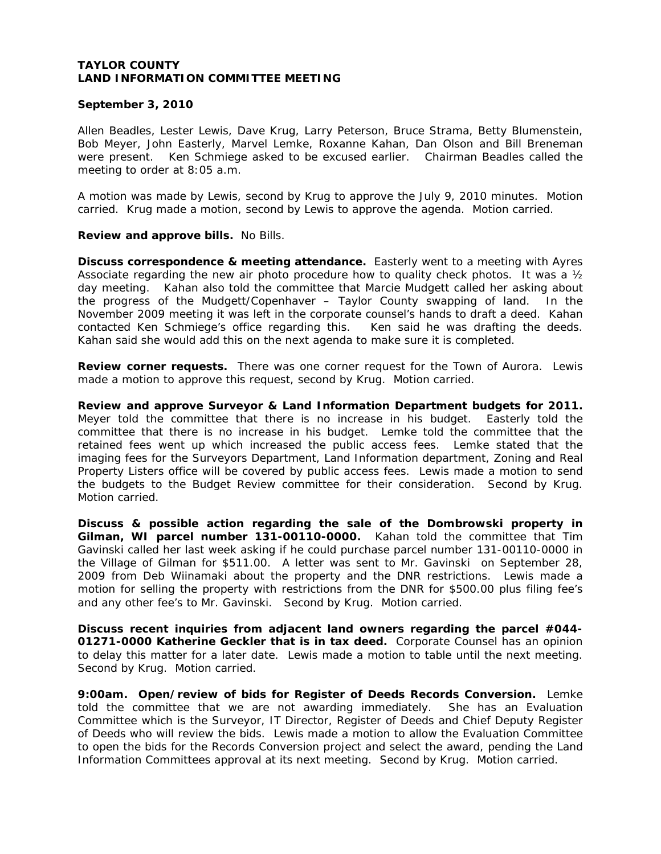#### **September 3, 2010**

Allen Beadles, Lester Lewis, Dave Krug, Larry Peterson, Bruce Strama, Betty Blumenstein, Bob Meyer, John Easterly, Marvel Lemke, Roxanne Kahan, Dan Olson and Bill Breneman were present. Ken Schmiege asked to be excused earlier. Chairman Beadles called the meeting to order at 8:05 a.m.

A motion was made by Lewis, second by Krug to approve the July 9, 2010 minutes. Motion carried. Krug made a motion, second by Lewis to approve the agenda. Motion carried.

#### **Review and approve bills.** No Bills.

**Discuss correspondence & meeting attendance.** Easterly went to a meeting with Ayres Associate regarding the new air photo procedure how to quality check photos. It was a  $\mathcal{V}_2$ day meeting. Kahan also told the committee that Marcie Mudgett called her asking about the progress of the Mudgett/Copenhaver – Taylor County swapping of land. In the November 2009 meeting it was left in the corporate counsel's hands to draft a deed. Kahan contacted Ken Schmiege's office regarding this. Ken said he was drafting the deeds. Kahan said she would add this on the next agenda to make sure it is completed.

**Review corner requests.** There was one corner request for the Town of Aurora. Lewis made a motion to approve this request, second by Krug. Motion carried.

**Review and approve Surveyor & Land Information Department budgets for 2011.** Meyer told the committee that there is no increase in his budget. Easterly told the committee that there is no increase in his budget. Lemke told the committee that the retained fees went up which increased the public access fees. Lemke stated that the imaging fees for the Surveyors Department, Land Information department, Zoning and Real Property Listers office will be covered by public access fees. Lewis made a motion to send the budgets to the Budget Review committee for their consideration. Second by Krug. Motion carried.

**Discuss & possible action regarding the sale of the Dombrowski property in Gilman, WI parcel number 131-00110-0000.** Kahan told the committee that Tim Gavinski called her last week asking if he could purchase parcel number 131-00110-0000 in the Village of Gilman for \$511.00. A letter was sent to Mr. Gavinski on September 28, 2009 from Deb Wiinamaki about the property and the DNR restrictions. Lewis made a motion for selling the property with restrictions from the DNR for \$500.00 plus filing fee's and any other fee's to Mr. Gavinski. Second by Krug. Motion carried.

**Discuss recent inquiries from adjacent land owners regarding the parcel #044- 01271-0000 Katherine Geckler that is in tax deed.** Corporate Counsel has an opinion to delay this matter for a later date. Lewis made a motion to table until the next meeting. Second by Krug. Motion carried.

**9:00am. Open/review of bids for Register of Deeds Records Conversion.** Lemke told the committee that we are not awarding immediately. She has an Evaluation Committee which is the Surveyor, IT Director, Register of Deeds and Chief Deputy Register of Deeds who will review the bids. Lewis made a motion to allow the Evaluation Committee to open the bids for the Records Conversion project and select the award, pending the Land Information Committees approval at its next meeting. Second by Krug. Motion carried.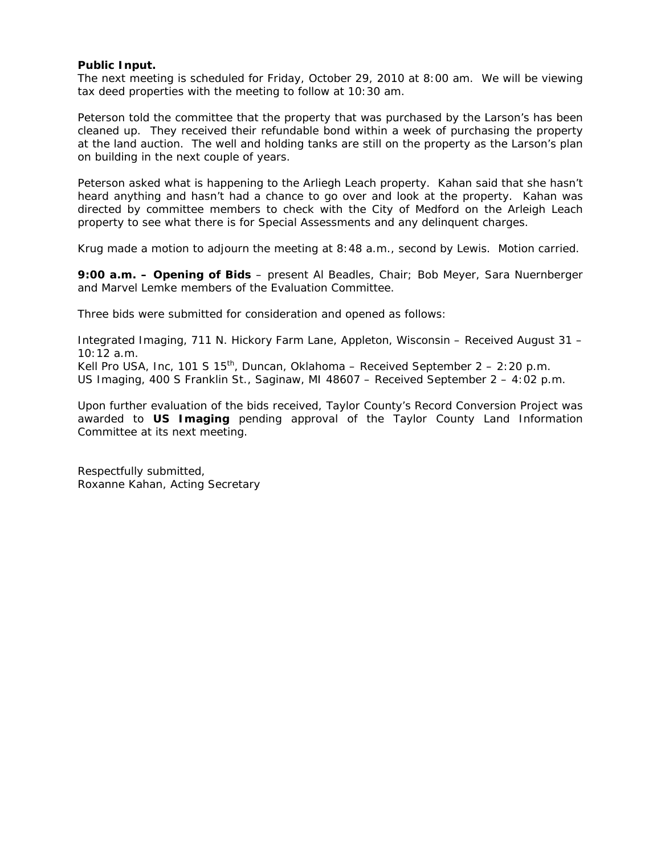#### **Public Input.**

The next meeting is scheduled for Friday, October 29, 2010 at 8:00 am. We will be viewing tax deed properties with the meeting to follow at 10:30 am.

Peterson told the committee that the property that was purchased by the Larson's has been cleaned up. They received their refundable bond within a week of purchasing the property at the land auction. The well and holding tanks are still on the property as the Larson's plan on building in the next couple of years.

Peterson asked what is happening to the Arliegh Leach property. Kahan said that she hasn't heard anything and hasn't had a chance to go over and look at the property. Kahan was directed by committee members to check with the City of Medford on the Arleigh Leach property to see what there is for Special Assessments and any delinquent charges.

Krug made a motion to adjourn the meeting at 8:48 a.m., second by Lewis. Motion carried.

**9:00 a.m. – Opening of Bids** – present Al Beadles, Chair; Bob Meyer, Sara Nuernberger and Marvel Lemke members of the Evaluation Committee.

Three bids were submitted for consideration and opened as follows:

*Integrated Imaging*, 711 N. Hickory Farm Lane, Appleton, Wisconsin – Received August 31 – 10:12 a.m. *Kell Pro USA, Inc*, 101 S 15th, Duncan, Oklahoma – Received September 2 – 2:20 p.m.

*US Imaging,* 400 S Franklin St., Saginaw, MI 48607 – Received September 2 – 4:02 p.m.

Upon further evaluation of the bids received, Taylor County's Record Conversion Project was awarded to *US Imaging* pending approval of the Taylor County Land Information Committee at its next meeting.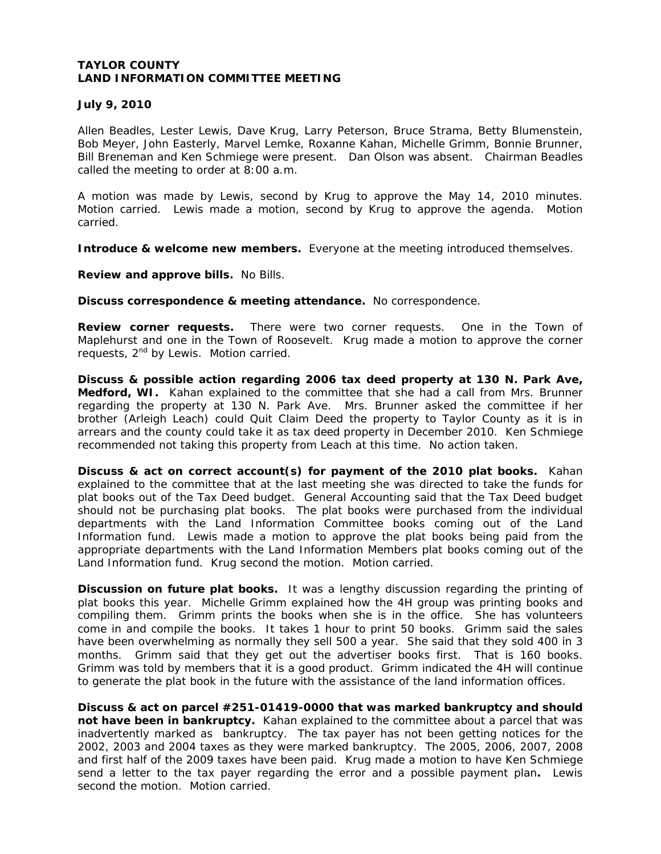#### **July 9, 2010**

Allen Beadles, Lester Lewis, Dave Krug, Larry Peterson, Bruce Strama, Betty Blumenstein, Bob Meyer, John Easterly, Marvel Lemke, Roxanne Kahan, Michelle Grimm, Bonnie Brunner, Bill Breneman and Ken Schmiege were present. Dan Olson was absent. Chairman Beadles called the meeting to order at 8:00 a.m.

A motion was made by Lewis, second by Krug to approve the May 14, 2010 minutes. Motion carried. Lewis made a motion, second by Krug to approve the agenda. Motion carried.

**Introduce & welcome new members.** Everyone at the meeting introduced themselves.

**Review and approve bills.** No Bills.

**Discuss correspondence & meeting attendance.** No correspondence.

**Review corner requests.** There were two corner requests. One in the Town of Maplehurst and one in the Town of Roosevelt. Krug made a motion to approve the corner requests, 2<sup>nd</sup> by Lewis. Motion carried.

**Discuss & possible action regarding 2006 tax deed property at 130 N. Park Ave, Medford, WI.** Kahan explained to the committee that she had a call from Mrs. Brunner regarding the property at 130 N. Park Ave. Mrs. Brunner asked the committee if her brother (Arleigh Leach) could Quit Claim Deed the property to Taylor County as it is in arrears and the county could take it as tax deed property in December 2010. Ken Schmiege recommended not taking this property from Leach at this time. No action taken.

**Discuss & act on correct account(s) for payment of the 2010 plat books.** Kahan explained to the committee that at the last meeting she was directed to take the funds for plat books out of the Tax Deed budget. General Accounting said that the Tax Deed budget should not be purchasing plat books. The plat books were purchased from the individual departments with the Land Information Committee books coming out of the Land Information fund. Lewis made a motion to approve the plat books being paid from the appropriate departments with the Land Information Members plat books coming out of the Land Information fund. Krug second the motion. Motion carried.

**Discussion on future plat books.** It was a lengthy discussion regarding the printing of plat books this year. Michelle Grimm explained how the 4H group was printing books and compiling them. Grimm prints the books when she is in the office. She has volunteers come in and compile the books. It takes 1 hour to print 50 books. Grimm said the sales have been overwhelming as normally they sell 500 a year. She said that they sold 400 in 3 months. Grimm said that they get out the advertiser books first. That is 160 books. Grimm was told by members that it is a good product. Grimm indicated the 4H will continue to generate the plat book in the future with the assistance of the land information offices.

**Discuss & act on parcel #251-01419-0000 that was marked bankruptcy and should not have been in bankruptcy.** Kahan explained to the committee about a parcel that was inadvertently marked as bankruptcy. The tax payer has not been getting notices for the 2002, 2003 and 2004 taxes as they were marked bankruptcy. The 2005, 2006, 2007, 2008 and first half of the 2009 taxes have been paid. Krug made a motion to have Ken Schmiege send a letter to the tax payer regarding the error and a possible payment plan**.** Lewis second the motion. Motion carried.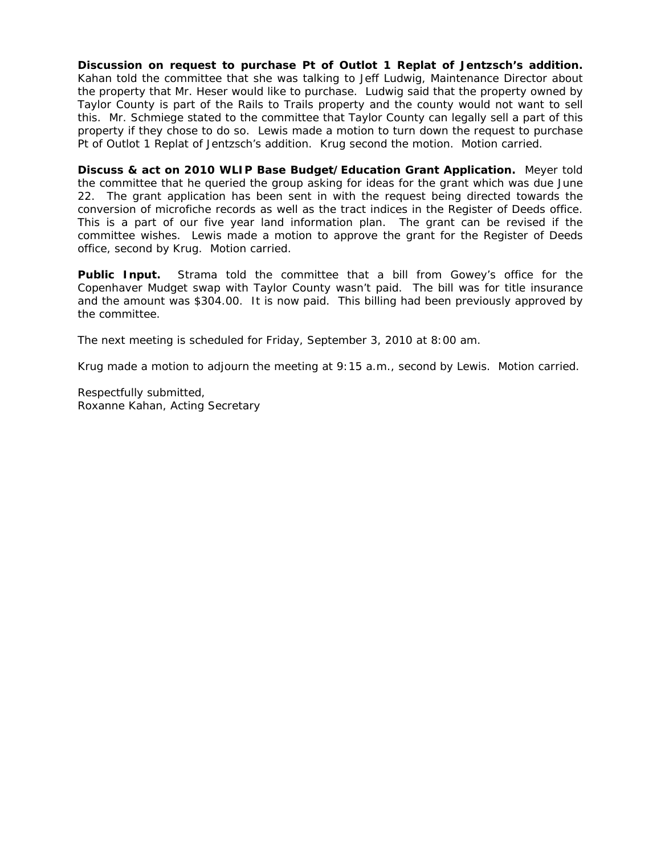**Discussion on request to purchase Pt of Outlot 1 Replat of Jentzsch's addition.** Kahan told the committee that she was talking to Jeff Ludwig, Maintenance Director about the property that Mr. Heser would like to purchase. Ludwig said that the property owned by Taylor County is part of the Rails to Trails property and the county would not want to sell this. Mr. Schmiege stated to the committee that Taylor County can legally sell a part of this property if they chose to do so. Lewis made a motion to turn down the request to purchase Pt of Outlot 1 Replat of Jentzsch's addition. Krug second the motion. Motion carried.

**Discuss & act on 2010 WLIP Base Budget/Education Grant Application.** Meyer told the committee that he queried the group asking for ideas for the grant which was due June 22. The grant application has been sent in with the request being directed towards the conversion of microfiche records as well as the tract indices in the Register of Deeds office. This is a part of our five year land information plan. The grant can be revised if the committee wishes. Lewis made a motion to approve the grant for the Register of Deeds office, second by Krug. Motion carried.

**Public Input.** Strama told the committee that a bill from Gowey's office for the Copenhaver Mudget swap with Taylor County wasn't paid. The bill was for title insurance and the amount was \$304.00. It is now paid. This billing had been previously approved by the committee.

The next meeting is scheduled for Friday, September 3, 2010 at 8:00 am.

Krug made a motion to adjourn the meeting at 9:15 a.m., second by Lewis. Motion carried.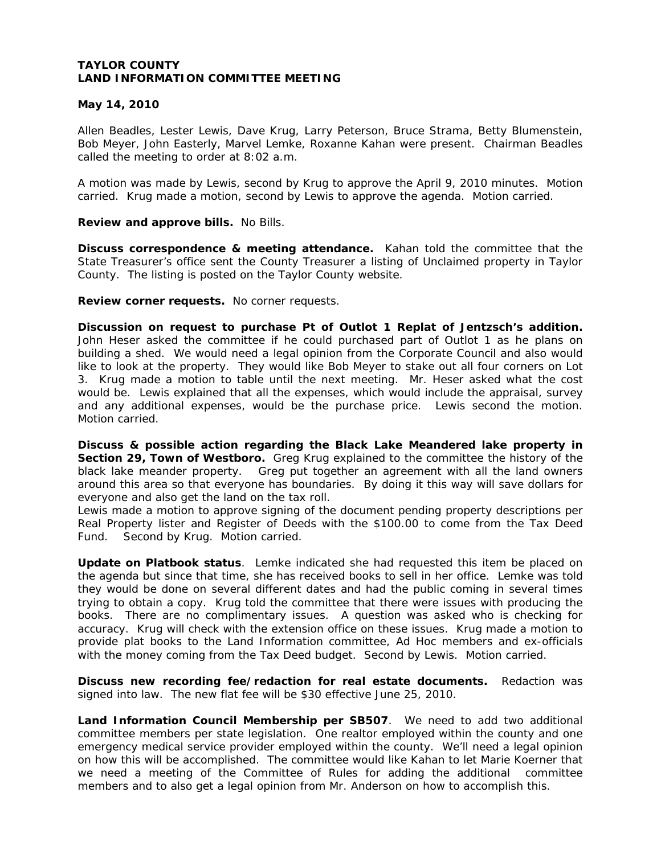#### **May 14, 2010**

Allen Beadles, Lester Lewis, Dave Krug, Larry Peterson, Bruce Strama, Betty Blumenstein, Bob Meyer, John Easterly, Marvel Lemke, Roxanne Kahan were present. Chairman Beadles called the meeting to order at 8:02 a.m.

A motion was made by Lewis, second by Krug to approve the April 9, 2010 minutes. Motion carried. Krug made a motion, second by Lewis to approve the agenda. Motion carried.

#### **Review and approve bills.** No Bills.

**Discuss correspondence & meeting attendance.** Kahan told the committee that the State Treasurer's office sent the County Treasurer a listing of Unclaimed property in Taylor County. The listing is posted on the Taylor County website.

**Review corner requests.** No corner requests.

**Discussion on request to purchase Pt of Outlot 1 Replat of Jentzsch's addition.** John Heser asked the committee if he could purchased part of Outlot 1 as he plans on building a shed. We would need a legal opinion from the Corporate Council and also would like to look at the property. They would like Bob Meyer to stake out all four corners on Lot 3. Krug made a motion to table until the next meeting. Mr. Heser asked what the cost would be. Lewis explained that all the expenses, which would include the appraisal, survey and any additional expenses, would be the purchase price. Lewis second the motion. Motion carried.

**Discuss & possible action regarding the Black Lake Meandered lake property in Section 29, Town of Westboro.** Greg Krug explained to the committee the history of the black lake meander property. Greg put together an agreement with all the land owners around this area so that everyone has boundaries. By doing it this way will save dollars for everyone and also get the land on the tax roll.

Lewis made a motion to approve signing of the document pending property descriptions per Real Property lister and Register of Deeds with the \$100.00 to come from the Tax Deed Fund. Second by Krug. Motion carried.

**Update on Platbook status**. Lemke indicated she had requested this item be placed on the agenda but since that time, she has received books to sell in her office. Lemke was told they would be done on several different dates and had the public coming in several times trying to obtain a copy. Krug told the committee that there were issues with producing the books. There are no complimentary issues. A question was asked who is checking for accuracy. Krug will check with the extension office on these issues. Krug made a motion to provide plat books to the Land Information committee, Ad Hoc members and ex-officials with the money coming from the Tax Deed budget. Second by Lewis. Motion carried.

**Discuss new recording fee/redaction for real estate documents.** Redaction was signed into law. The new flat fee will be \$30 effective June 25, 2010.

**Land Information Council Membership per SB507**.We need to add two additional committee members per state legislation. One realtor employed within the county and one emergency medical service provider employed within the county. We'll need a legal opinion on how this will be accomplished. The committee would like Kahan to let Marie Koerner that we need a meeting of the Committee of Rules for adding the additional committee members and to also get a legal opinion from Mr. Anderson on how to accomplish this.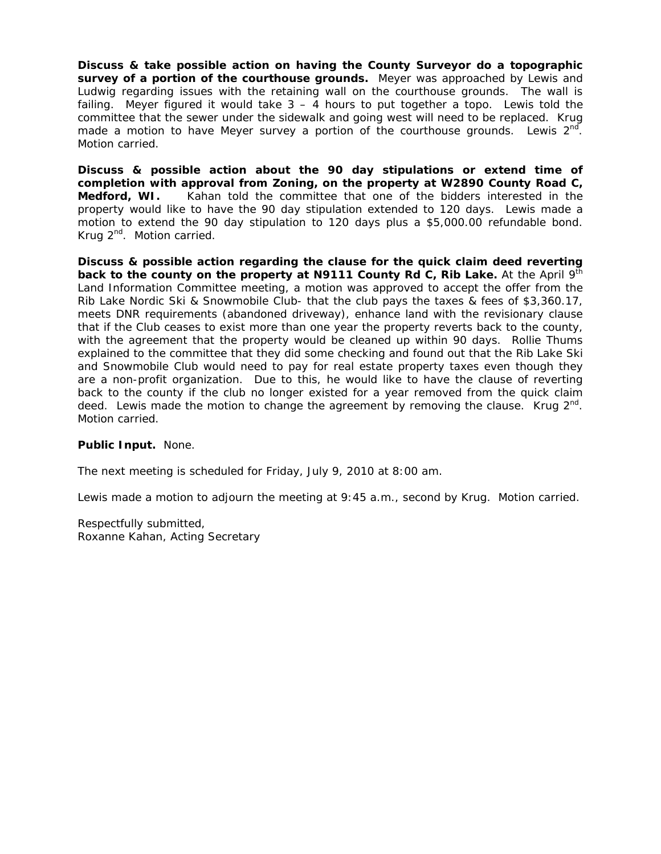**Discuss & take possible action on having the County Surveyor do a topographic survey of a portion of the courthouse grounds.** Meyer was approached by Lewis and Ludwig regarding issues with the retaining wall on the courthouse grounds. The wall is failing. Meyer figured it would take  $3 - 4$  hours to put together a topo. Lewis told the committee that the sewer under the sidewalk and going west will need to be replaced. Krug made a motion to have Meyer survey a portion of the courthouse grounds. Lewis  $2^{nd}$ . Motion carried.

**Discuss & possible action about the 90 day stipulations or extend time of completion with approval from Zoning, on the property at W2890 County Road C, Medford, WI.** Kahan told the committee that one of the bidders interested in the property would like to have the 90 day stipulation extended to 120 days. Lewis made a motion to extend the 90 day stipulation to 120 days plus a \$5,000.00 refundable bond. Krug 2<sup>nd</sup>. Motion carried.

**Discuss & possible action regarding the clause for the quick claim deed reverting back to the county on the property at N9111 County Rd C, Rib Lake.** At the April 9th Land Information Committee meeting, a motion was approved to accept the offer from the Rib Lake Nordic Ski & Snowmobile Club- that the club pays the taxes & fees of \$3,360.17, meets DNR requirements (abandoned driveway), enhance land with the revisionary clause that if the Club ceases to exist more than one year the property reverts back to the county, with the agreement that the property would be cleaned up within 90 days. Rollie Thums explained to the committee that they did some checking and found out that the Rib Lake Ski and Snowmobile Club would need to pay for real estate property taxes even though they are a non-profit organization. Due to this, he would like to have the clause of *reverting back to the county if the club no longer existed for a year* removed from the quick claim deed. Lewis made the motion to change the agreement by removing the clause. Krug  $2^{nd}$ . Motion carried.

# **Public Input.** None.

The next meeting is scheduled for Friday, July 9, 2010 at 8:00 am.

Lewis made a motion to adjourn the meeting at 9:45 a.m., second by Krug. Motion carried.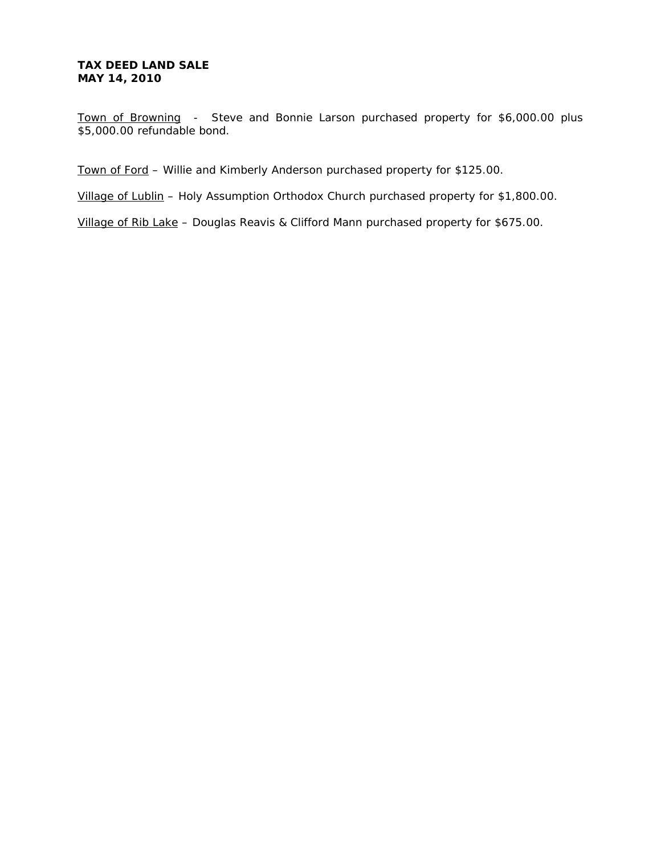## **TAX DEED LAND SALE MAY 14, 2010**

Town of Browning - Steve and Bonnie Larson purchased property for \$6,000.00 plus \$5,000.00 refundable bond.

Town of Ford – Willie and Kimberly Anderson purchased property for \$125.00.

Village of Lublin – Holy Assumption Orthodox Church purchased property for \$1,800.00.

Village of Rib Lake – Douglas Reavis & Clifford Mann purchased property for \$675.00.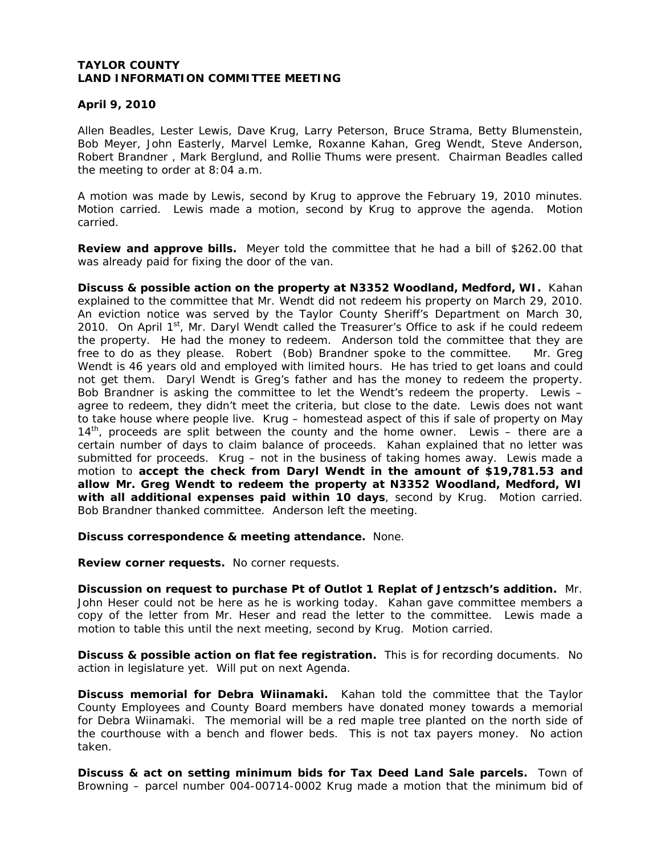#### **April 9, 2010**

Allen Beadles, Lester Lewis, Dave Krug, Larry Peterson, Bruce Strama, Betty Blumenstein, Bob Meyer, John Easterly, Marvel Lemke, Roxanne Kahan, Greg Wendt, Steve Anderson, Robert Brandner , Mark Berglund, and Rollie Thums were present. Chairman Beadles called the meeting to order at 8:04 a.m.

A motion was made by Lewis, second by Krug to approve the February 19, 2010 minutes. Motion carried. Lewis made a motion, second by Krug to approve the agenda. Motion carried.

**Review and approve bills.** Meyer told the committee that he had a bill of \$262.00 that was already paid for fixing the door of the van.

**Discuss & possible action on the property at N3352 Woodland, Medford, WI.** Kahan explained to the committee that Mr. Wendt did not redeem his property on March 29, 2010. An eviction notice was served by the Taylor County Sheriff's Department on March 30, 2010. On April  $1^{st}$ , Mr. Daryl Wendt called the Treasurer's Office to ask if he could redeem the property. He had the money to redeem. Anderson told the committee that they are free to do as they please. Robert (Bob) Brandner spoke to the committee. Mr. Greg Wendt is 46 years old and employed with limited hours. He has tried to get loans and could not get them. Daryl Wendt is Greg's father and has the money to redeem the property. Bob Brandner is asking the committee to let the Wendt's redeem the property. Lewis – agree to redeem, they didn't meet the criteria, but close to the date. Lewis does not want to take house where people live. Krug – homestead aspect of this if sale of property on May  $14<sup>th</sup>$ , proceeds are split between the county and the home owner. Lewis – there are a certain number of days to claim balance of proceeds. Kahan explained that no letter was submitted for proceeds. Krug – not in the business of taking homes away. Lewis made a motion to **accept the check from Daryl Wendt in the amount of \$19,781.53 and allow Mr. Greg Wendt to redeem the property at N3352 Woodland, Medford, WI with all additional expenses paid within 10 days**, second by Krug. Motion carried. Bob Brandner thanked committee. Anderson left the meeting.

**Discuss correspondence & meeting attendance.** None.

**Review corner requests.** No corner requests.

**Discussion on request to purchase Pt of Outlot 1 Replat of Jentzsch's addition.** Mr. John Heser could not be here as he is working today. Kahan gave committee members a copy of the letter from Mr. Heser and read the letter to the committee. Lewis made a motion to table this until the next meeting, second by Krug. Motion carried.

**Discuss & possible action on flat fee registration.** This is for recording documents. No action in legislature yet. Will put on next Agenda.

**Discuss memorial for Debra Wiinamaki.** Kahan told the committee that the Taylor County Employees and County Board members have donated money towards a memorial for Debra Wiinamaki. The memorial will be a red maple tree planted on the north side of the courthouse with a bench and flower beds. This is not tax payers money. No action taken.

**Discuss & act on setting minimum bids for Tax Deed Land Sale parcels.** Town of Browning – parcel number 004-00714-0002 Krug made a motion that the minimum bid of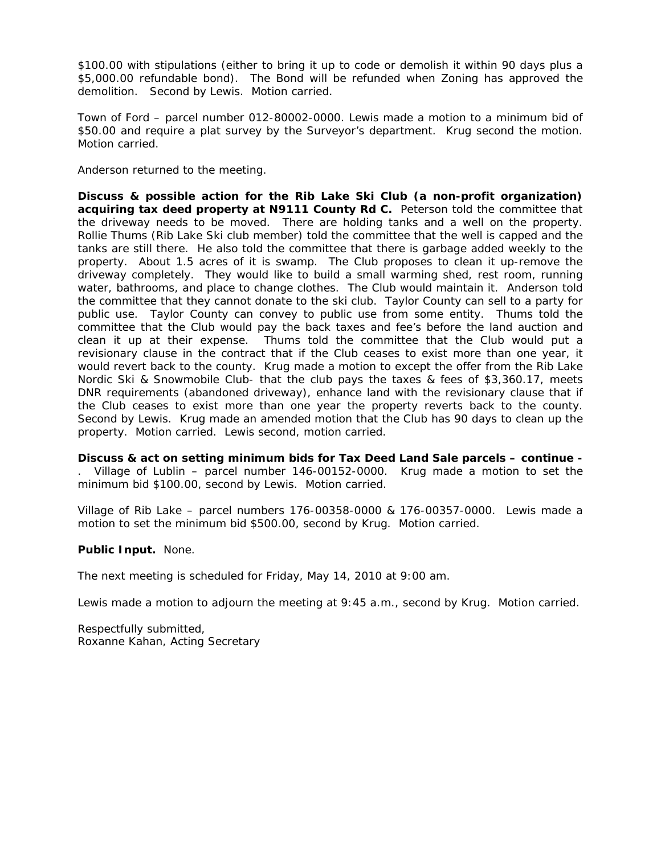\$100.00 with stipulations (either to bring it up to code or demolish it within 90 days plus a \$5,000.00 refundable bond). The Bond will be refunded when Zoning has approved the demolition. Second by Lewis. Motion carried.

Town of Ford – parcel number 012-80002-0000. Lewis made a motion to a minimum bid of \$50.00 and require a plat survey by the Surveyor's department. Krug second the motion. Motion carried.

Anderson returned to the meeting.

**Discuss & possible action for the Rib Lake Ski Club (a non-profit organization) acquiring tax deed property at N9111 County Rd C.** Peterson told the committee that the driveway needs to be moved. There are holding tanks and a well on the property. Rollie Thums (Rib Lake Ski club member) told the committee that the well is capped and the tanks are still there. He also told the committee that there is garbage added weekly to the property. About 1.5 acres of it is swamp. The Club proposes to clean it up-remove the driveway completely. They would like to build a small warming shed, rest room, running water, bathrooms, and place to change clothes. The Club would maintain it. Anderson told the committee that they cannot donate to the ski club. Taylor County can sell to a party for public use. Taylor County can convey to public use from some entity. Thums told the committee that the Club would pay the back taxes and fee's before the land auction and clean it up at their expense. Thums told the committee that the Club would put a revisionary clause in the contract that if the Club ceases to exist more than one year, it would revert back to the county. Krug made a motion to except the offer from the Rib Lake Nordic Ski & Snowmobile Club- that the club pays the taxes & fees of \$3,360.17, meets DNR requirements (abandoned driveway), enhance land with the revisionary clause that if the Club ceases to exist more than one year the property reverts back to the county. Second by Lewis. Krug made an amended motion that the Club has 90 days to clean up the property. Motion carried. Lewis second, motion carried.

**Discuss & act on setting minimum bids for Tax Deed Land Sale parcels – continue -** . Village of Lublin – parcel number 146-00152-0000. Krug made a motion to set the minimum bid \$100.00, second by Lewis. Motion carried.

Village of Rib Lake – parcel numbers 176-00358-0000 & 176-00357-0000. Lewis made a motion to set the minimum bid \$500.00, second by Krug. Motion carried.

#### **Public Input.** None.

The next meeting is scheduled for Friday, May 14, 2010 at 9:00 am.

Lewis made a motion to adjourn the meeting at 9:45 a.m., second by Krug. Motion carried.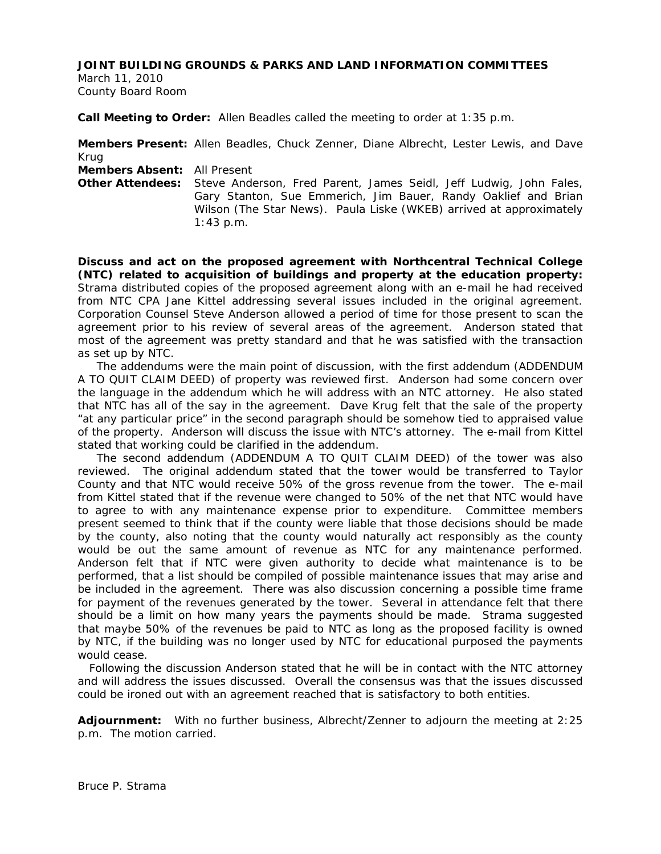#### **JOINT BUILDING GROUNDS & PARKS AND LAND INFORMATION COMMITTEES**

March 11, 2010 County Board Room

**Call Meeting to Order:** Allen Beadles called the meeting to order at 1:35 p.m.

**Members Present:** Allen Beadles, Chuck Zenner, Diane Albrecht, Lester Lewis, and Dave Krug

**Members Absent:** All Present **Other Attendees:** Steve Anderson, Fred Parent, James Seidl, Jeff Ludwig, John Fales, Gary Stanton, Sue Emmerich, Jim Bauer, Randy Oaklief and Brian Wilson (The Star News). Paula Liske (WKEB) arrived at approximately 1:43 p.m.

**Discuss and act on the proposed agreement with Northcentral Technical College (NTC) related to acquisition of buildings and property at the education property:** Strama distributed copies of the proposed agreement along with an e-mail he had received from NTC CPA Jane Kittel addressing several issues included in the original agreement. Corporation Counsel Steve Anderson allowed a period of time for those present to scan the agreement prior to his review of several areas of the agreement. Anderson stated that most of the agreement was pretty standard and that he was satisfied with the transaction as set up by NTC.

 The addendums were the main point of discussion, with the first addendum (ADDENDUM A TO QUIT CLAIM DEED) of property was reviewed first. Anderson had some concern over the language in the addendum which he will address with an NTC attorney. He also stated that NTC has all of the say in the agreement. Dave Krug felt that the sale of the property "at any particular price" in the second paragraph should be somehow tied to appraised value of the property. Anderson will discuss the issue with NTC's attorney. The e-mail from Kittel stated that working could be clarified in the addendum.

 The second addendum (ADDENDUM A TO QUIT CLAIM DEED) of the tower was also reviewed. The original addendum stated that the tower would be transferred to Taylor County and that NTC would receive 50% of the gross revenue from the tower. The e-mail from Kittel stated that if the revenue were changed to 50% of the net that NTC would have to agree to with any maintenance expense prior to expenditure. Committee members present seemed to think that if the county were liable that those decisions should be made by the county, also noting that the county would naturally act responsibly as the county would be out the same amount of revenue as NTC for any maintenance performed. Anderson felt that if NTC were given authority to decide what maintenance is to be performed, that a list should be compiled of possible maintenance issues that may arise and be included in the agreement. There was also discussion concerning a possible time frame for payment of the revenues generated by the tower. Several in attendance felt that there should be a limit on how many years the payments should be made. Strama suggested that maybe 50% of the revenues be paid to NTC as long as the proposed facility is owned by NTC, if the building was no longer used by NTC for educational purposed the payments would cease.

 Following the discussion Anderson stated that he will be in contact with the NTC attorney and will address the issues discussed. Overall the consensus was that the issues discussed could be ironed out with an agreement reached that is satisfactory to both entities.

**Adjournment:** With no further business, Albrecht/Zenner to adjourn the meeting at 2:25 p.m. The motion carried.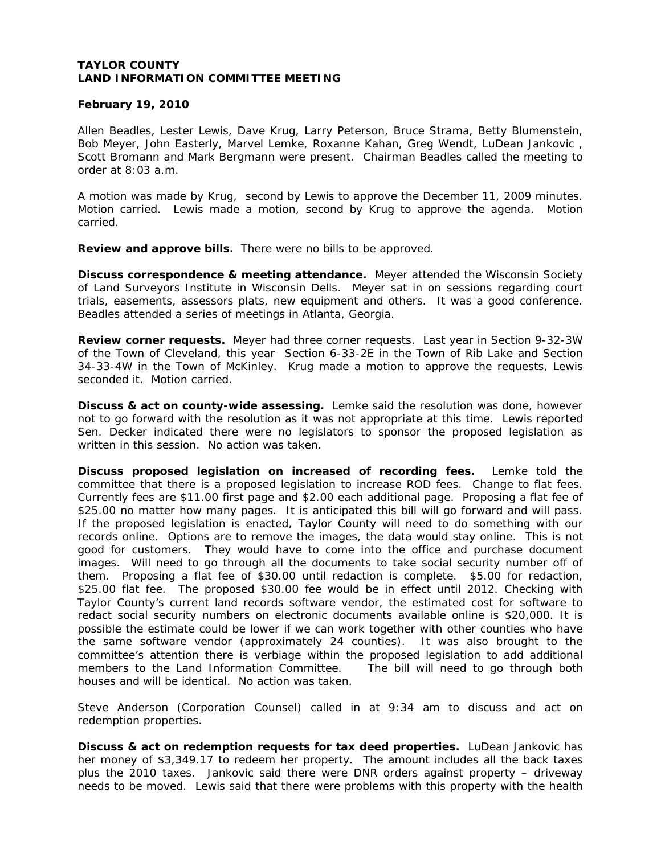#### **February 19, 2010**

Allen Beadles, Lester Lewis, Dave Krug, Larry Peterson, Bruce Strama, Betty Blumenstein, Bob Meyer, John Easterly, Marvel Lemke, Roxanne Kahan, Greg Wendt, LuDean Jankovic , Scott Bromann and Mark Bergmann were present. Chairman Beadles called the meeting to order at 8:03 a.m.

A motion was made by Krug, second by Lewis to approve the December 11, 2009 minutes. Motion carried. Lewis made a motion, second by Krug to approve the agenda. Motion carried.

**Review and approve bills.** There were no bills to be approved.

**Discuss correspondence & meeting attendance.** Meyer attended the Wisconsin Society of Land Surveyors Institute in Wisconsin Dells. Meyer sat in on sessions regarding court trials, easements, assessors plats, new equipment and others. It was a good conference. Beadles attended a series of meetings in Atlanta, Georgia.

**Review corner requests.** Meyer had three corner requests. Last year in Section 9-32-3W of the Town of Cleveland, this year Section 6-33-2E in the Town of Rib Lake and Section 34-33-4W in the Town of McKinley. Krug made a motion to approve the requests, Lewis seconded it. Motion carried.

**Discuss & act on county-wide assessing.** Lemke said the resolution was done, however not to go forward with the resolution as it was not appropriate at this time. Lewis reported Sen. Decker indicated there were no legislators to sponsor the proposed legislation as written in this session. No action was taken.

**Discuss proposed legislation on increased of recording fees.** Lemke told the committee that there is a proposed legislation to increase ROD fees. Change to flat fees. Currently fees are \$11.00 first page and \$2.00 each additional page. Proposing a flat fee of \$25.00 no matter how many pages. It is anticipated this bill will go forward and will pass. If the proposed legislation is enacted, Taylor County will need to do something with our records online. Options are to remove the images, the data would stay online. This is not good for customers. They would have to come into the office and purchase document images. Will need to go through all the documents to take social security number off of them. Proposing a flat fee of \$30.00 until redaction is complete. \$5.00 for redaction, \$25.00 flat fee. The proposed \$30.00 fee would be in effect until 2012. Checking with Taylor County's current land records software vendor, the estimated cost for software to redact social security numbers on electronic documents available online is \$20,000. It is possible the estimate could be lower if we can work together with other counties who have the same software vendor (approximately 24 counties). It was also brought to the committee's attention there is verbiage within the proposed legislation to add additional members to the Land Information Committee. The bill will need to go through both houses and will be identical. No action was taken.

Steve Anderson (Corporation Counsel) called in at 9:34 am to discuss and act on redemption properties.

**Discuss & act on redemption requests for tax deed properties.** LuDean Jankovic has her money of \$3,349.17 to redeem her property. The amount includes all the back taxes plus the 2010 taxes. Jankovic said there were DNR orders against property – driveway needs to be moved. Lewis said that there were problems with this property with the health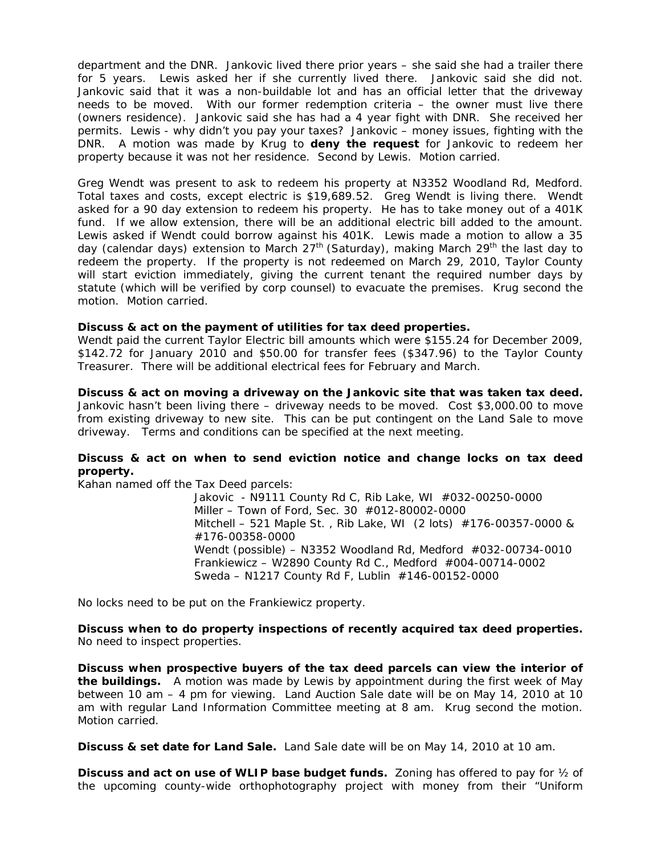department and the DNR. Jankovic lived there prior years – she said she had a trailer there for 5 years. Lewis asked her if she currently lived there. Jankovic said she did not. Jankovic said that it was a non-buildable lot and has an official letter that the driveway needs to be moved. With our former redemption criteria – the owner must live there (owners residence). Jankovic said she has had a 4 year fight with DNR. She received her permits. Lewis - why didn't you pay your taxes? Jankovic – money issues, fighting with the DNR. A motion was made by Krug to **deny the request** for Jankovic to redeem her property because it was not her residence. Second by Lewis. Motion carried.

Greg Wendt was present to ask to redeem his property at N3352 Woodland Rd, Medford. Total taxes and costs, except electric is \$19,689.52. Greg Wendt is living there. Wendt asked for a 90 day extension to redeem his property. He has to take money out of a 401K fund. If we allow extension, there will be an additional electric bill added to the amount. Lewis asked if Wendt could borrow against his 401K. Lewis made a motion to allow a 35 day (calendar days) extension to March 27<sup>th</sup> (Saturday), making March 29<sup>th</sup> the last day to redeem the property. If the property is not redeemed on March 29, 2010, Taylor County will start eviction immediately, giving the current tenant the required number days by statute (which will be verified by corp counsel) to evacuate the premises. Krug second the motion. Motion carried.

#### **Discuss & act on the payment of utilities for tax deed properties.**

Wendt paid the current Taylor Electric bill amounts which were \$155.24 for December 2009, \$142.72 for January 2010 and \$50.00 for transfer fees (\$347.96) to the Taylor County Treasurer. There will be additional electrical fees for February and March.

**Discuss & act on moving a driveway on the Jankovic site that was taken tax deed.** Jankovic hasn't been living there – driveway needs to be moved. Cost \$3,000.00 to move from existing driveway to new site. This can be put contingent on the Land Sale to move driveway. Terms and conditions can be specified at the next meeting.

#### **Discuss & act on when to send eviction notice and change locks on tax deed property.**

Kahan named off the Tax Deed parcels:

 Jakovic - N9111 County Rd C, Rib Lake, WI #032-00250-0000 Miller – Town of Ford, Sec. 30 #012-80002-0000 Mitchell – 521 Maple St. , Rib Lake, WI (2 lots) #176-00357-0000 & #176-00358-0000 Wendt (possible) – N3352 Woodland Rd, Medford #032-00734-0010 Frankiewicz – W2890 County Rd C., Medford #004-00714-0002 Sweda – N1217 County Rd F, Lublin #146-00152-0000

No locks need to be put on the Frankiewicz property.

**Discuss when to do property inspections of recently acquired tax deed properties.** No need to inspect properties.

**Discuss when prospective buyers of the tax deed parcels can view the interior of the buildings.** A motion was made by Lewis by appointment during the first week of May between 10 am – 4 pm for viewing. Land Auction Sale date will be on May 14, 2010 at 10 am with regular Land Information Committee meeting at 8 am. Krug second the motion. Motion carried.

**Discuss & set date for Land Sale.** Land Sale date will be on May 14, 2010 at 10 am.

**Discuss and act on use of WLIP base budget funds.** Zoning has offered to pay for ½ of the upcoming county-wide orthophotography project with money from their "Uniform